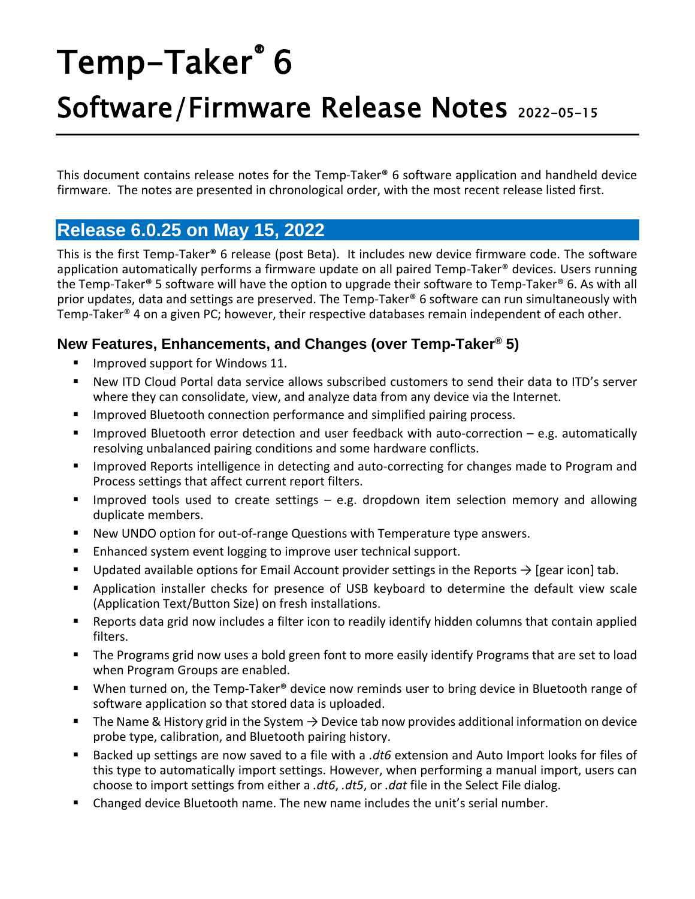# Temp-Taker® 6

# Software/Firmware Release Notes 2022-05-15

This document contains release notes for the Temp-Taker® 6 software application and handheld device firmware. The notes are presented in chronological order, with the most recent release listed first.

# **Release 6.0.25 on May 15, 2022**

This is the first Temp-Taker® 6 release (post Beta). It includes new device firmware code. The software application automatically performs a firmware update on all paired Temp-Taker® devices. Users running the Temp-Taker® 5 software will have the option to upgrade their software to Temp-Taker® 6. As with all prior updates, data and settings are preserved. The Temp-Taker® 6 software can run simultaneously with Temp-Taker® 4 on a given PC; however, their respective databases remain independent of each other.

#### **New Features, Enhancements, and Changes (over Temp-Taker® 5)**

- Improved support for Windows 11.
- New ITD Cloud Portal data service allows subscribed customers to send their data to ITD's server where they can consolidate, view, and analyze data from any device via the Internet.
- **■** Improved Bluetooth connection performance and simplified pairing process.
- Improved Bluetooth error detection and user feedback with auto-correction e.g. automatically resolving unbalanced pairing conditions and some hardware conflicts.
- Improved Reports intelligence in detecting and auto-correcting for changes made to Program and Process settings that affect current report filters.
- **■** Improved tools used to create settings  $-$  e.g. dropdown item selection memory and allowing duplicate members.
- New UNDO option for out-of-range Questions with Temperature type answers.
- Enhanced system event logging to improve user technical support.
- Updated available options for Email Account provider settings in the Reports  $\rightarrow$  [gear icon] tab.
- Application installer checks for presence of USB keyboard to determine the default view scale (Application Text/Button Size) on fresh installations.
- Reports data grid now includes a filter icon to readily identify hidden columns that contain applied filters.
- The Programs grid now uses a bold green font to more easily identify Programs that are set to load when Program Groups are enabled.
- When turned on, the Temp-Taker<sup>®</sup> device now reminds user to bring device in Bluetooth range of software application so that stored data is uploaded.
- **■** The Name & History grid in the System  $\rightarrow$  Device tab now provides additional information on device probe type, calibration, and Bluetooth pairing history.
- Backed up settings are now saved to a file with a .dt6 extension and Auto Import looks for files of this type to automatically import settings. However, when performing a manual import, users can choose to import settings from either a *.dt6*, *.dt5*, or *.dat* file in the Select File dialog.
- Changed device Bluetooth name. The new name includes the unit's serial number.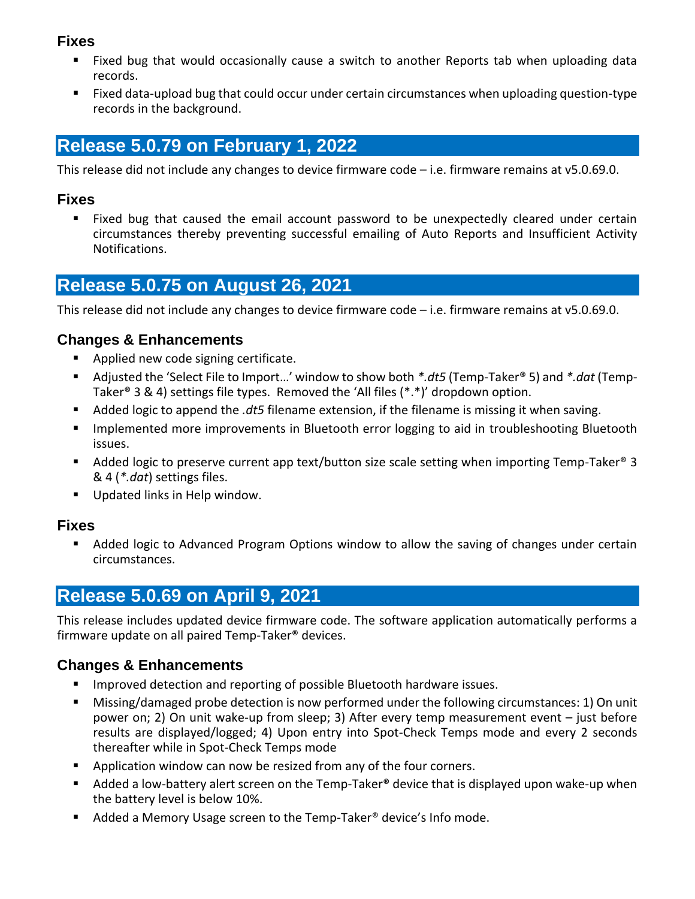#### **Fixes**

- Fixed bug that would occasionally cause a switch to another Reports tab when uploading data records.
- Fixed data-upload bug that could occur under certain circumstances when uploading question-type records in the background.

# **Release 5.0.79 on February 1, 2022**

This release did not include any changes to device firmware code – i.e. firmware remains at v5.0.69.0.

#### **Fixes**

■ Fixed bug that caused the email account password to be unexpectedly cleared under certain circumstances thereby preventing successful emailing of Auto Reports and Insufficient Activity Notifications.

# **Release 5.0.75 on August 26, 2021**

This release did not include any changes to device firmware code – i.e. firmware remains at v5.0.69.0.

#### **Changes & Enhancements**

- Applied new code signing certificate.
- Adjusted the 'Select File to Import...' window to show both *\*.dt5* (Temp-Taker<sup>®</sup> 5) and *\*.dat* (Temp-Taker® 3 & 4) settings file types. Removed the 'All files (\*.\*)' dropdown option.
- Added logic to append the *.dt5* filename extension, if the filename is missing it when saving.
- Implemented more improvements in Bluetooth error logging to aid in troubleshooting Bluetooth issues.
- Added logic to preserve current app text/button size scale setting when importing Temp-Taker<sup>®</sup> 3 & 4 (*\*.dat*) settings files.
- Updated links in Help window.

#### **Fixes**

■ Added logic to Advanced Program Options window to allow the saving of changes under certain circumstances.

# **Release 5.0.69 on April 9, 2021**

This release includes updated device firmware code. The software application automatically performs a firmware update on all paired Temp-Taker® devices.

#### **Changes & Enhancements**

- Improved detection and reporting of possible Bluetooth hardware issues.
- Missing/damaged probe detection is now performed under the following circumstances: 1) On unit power on; 2) On unit wake-up from sleep; 3) After every temp measurement event – just before results are displayed/logged; 4) Upon entry into Spot-Check Temps mode and every 2 seconds thereafter while in Spot-Check Temps mode
- Application window can now be resized from any of the four corners.
- $\blacksquare$  Added a low-battery alert screen on the Temp-Taker® device that is displayed upon wake-up when the battery level is below 10%.
- Added a Memory Usage screen to the Temp-Taker<sup>®</sup> device's Info mode.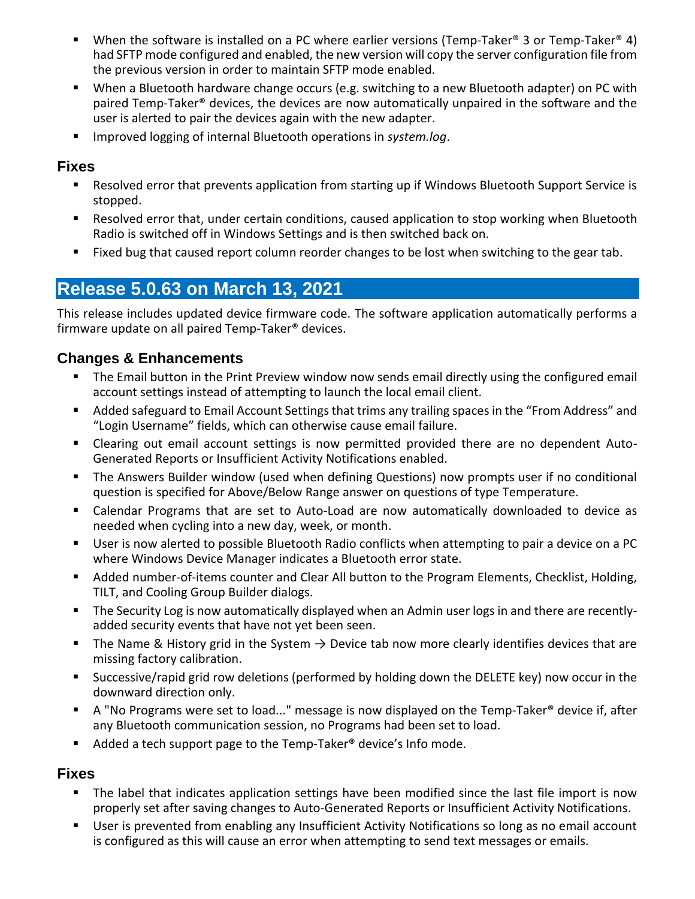- **■** When the software is installed on a PC where earlier versions (Temp-Taker® 3 or Temp-Taker® 4) had SFTP mode configured and enabled, the new version will copy the server configuration file from the previous version in order to maintain SFTP mode enabled.
- When a Bluetooth hardware change occurs (e.g. switching to a new Bluetooth adapter) on PC with paired Temp-Taker® devices, the devices are now automatically unpaired in the software and the user is alerted to pair the devices again with the new adapter.
- Improved logging of internal Bluetooth operations in *system.log*.

#### **Fixes**

- Resolved error that prevents application from starting up if Windows Bluetooth Support Service is stopped.
- Resolved error that, under certain conditions, caused application to stop working when Bluetooth Radio is switched off in Windows Settings and is then switched back on.
- Fixed bug that caused report column reorder changes to be lost when switching to the gear tab.

# **Release 5.0.63 on March 13, 2021**

This release includes updated device firmware code. The software application automatically performs a firmware update on all paired Temp-Taker® devices.

#### **Changes & Enhancements**

- The Email button in the Print Preview window now sends email directly using the configured email account settings instead of attempting to launch the local email client.
- Added safeguard to Email Account Settings that trims any trailing spaces in the "From Address" and "Login Username" fields, which can otherwise cause email failure.
- Clearing out email account settings is now permitted provided there are no dependent Auto-Generated Reports or Insufficient Activity Notifications enabled.
- **•** The Answers Builder window (used when defining Questions) now prompts user if no conditional question is specified for Above/Below Range answer on questions of type Temperature.
- Calendar Programs that are set to Auto-Load are now automatically downloaded to device as needed when cycling into a new day, week, or month.
- User is now alerted to possible Bluetooth Radio conflicts when attempting to pair a device on a PC where Windows Device Manager indicates a Bluetooth error state.
- Added number-of-items counter and Clear All button to the Program Elements, Checklist, Holding, TILT, and Cooling Group Builder dialogs.
- The Security Log is now automatically displayed when an Admin user logs in and there are recentlyadded security events that have not yet been seen.
- The Name & History grid in the System  $\rightarrow$  Device tab now more clearly identifies devices that are missing factory calibration.
- Successive/rapid grid row deletions (performed by holding down the DELETE key) now occur in the downward direction only.
- A "No Programs were set to load..." message is now displayed on the Temp-Taker® device if, after any Bluetooth communication session, no Programs had been set to load.
- Added a tech support page to the Temp-Taker<sup>®</sup> device's Info mode.

#### **Fixes**

- The label that indicates application settings have been modified since the last file import is now properly set after saving changes to Auto-Generated Reports or Insufficient Activity Notifications.
- User is prevented from enabling any Insufficient Activity Notifications so long as no email account is configured as this will cause an error when attempting to send text messages or emails.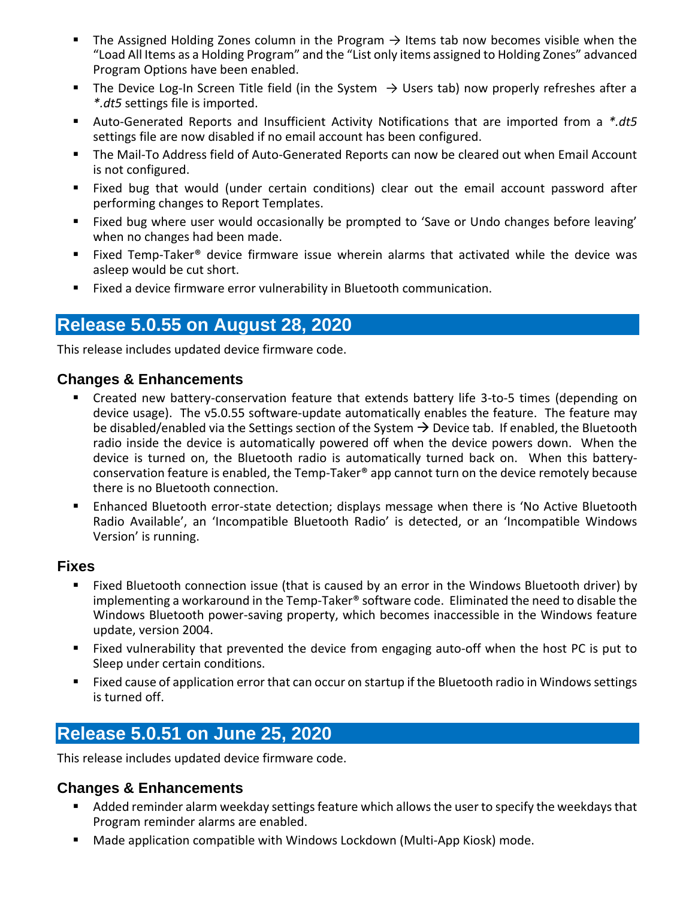- The Assigned Holding Zones column in the Program  $\rightarrow$  Items tab now becomes visible when the "Load All Items as a Holding Program" and the "List only items assigned to Holding Zones" advanced Program Options have been enabled.
- **■** The Device Log-In Screen Title field (in the System  $\rightarrow$  Users tab) now properly refreshes after a *\*.dt5* settings file is imported.
- Auto-Generated Reports and Insufficient Activity Notifications that are imported from a *\*.dt5* settings file are now disabled if no email account has been configured.
- **.** The Mail-To Address field of Auto-Generated Reports can now be cleared out when Email Account is not configured.
- Fixed bug that would (under certain conditions) clear out the email account password after performing changes to Report Templates.
- Fixed bug where user would occasionally be prompted to 'Save or Undo changes before leaving' when no changes had been made.
- Fixed Temp-Taker<sup>®</sup> device firmware issue wherein alarms that activated while the device was asleep would be cut short.
- Fixed a device firmware error vulnerability in Bluetooth communication.

# **Release 5.0.55 on August 28, 2020**

This release includes updated device firmware code.

#### **Changes & Enhancements**

- Created new battery-conservation feature that extends battery life 3-to-5 times (depending on device usage). The v5.0.55 software-update automatically enables the feature. The feature may be disabled/enabled via the Settings section of the System  $\rightarrow$  Device tab. If enabled, the Bluetooth radio inside the device is automatically powered off when the device powers down. When the device is turned on, the Bluetooth radio is automatically turned back on. When this batteryconservation feature is enabled, the Temp-Taker® app cannot turn on the device remotely because there is no Bluetooth connection.
- Enhanced Bluetooth error-state detection; displays message when there is 'No Active Bluetooth Radio Available', an 'Incompatible Bluetooth Radio' is detected, or an 'Incompatible Windows Version' is running.

#### **Fixes**

- Fixed Bluetooth connection issue (that is caused by an error in the Windows Bluetooth driver) by implementing a workaround in the Temp-Taker® software code. Eliminated the need to disable the Windows Bluetooth power-saving property, which becomes inaccessible in the Windows feature update, version 2004.
- Fixed vulnerability that prevented the device from engaging auto-off when the host PC is put to Sleep under certain conditions.
- Fixed cause of application error that can occur on startup if the Bluetooth radio in Windows settings is turned off.

# **Release 5.0.51 on June 25, 2020**

This release includes updated device firmware code.

#### **Changes & Enhancements**

- Added reminder alarm weekday settings feature which allows the user to specify the weekdays that Program reminder alarms are enabled.
- Made application compatible with Windows Lockdown (Multi-App Kiosk) mode.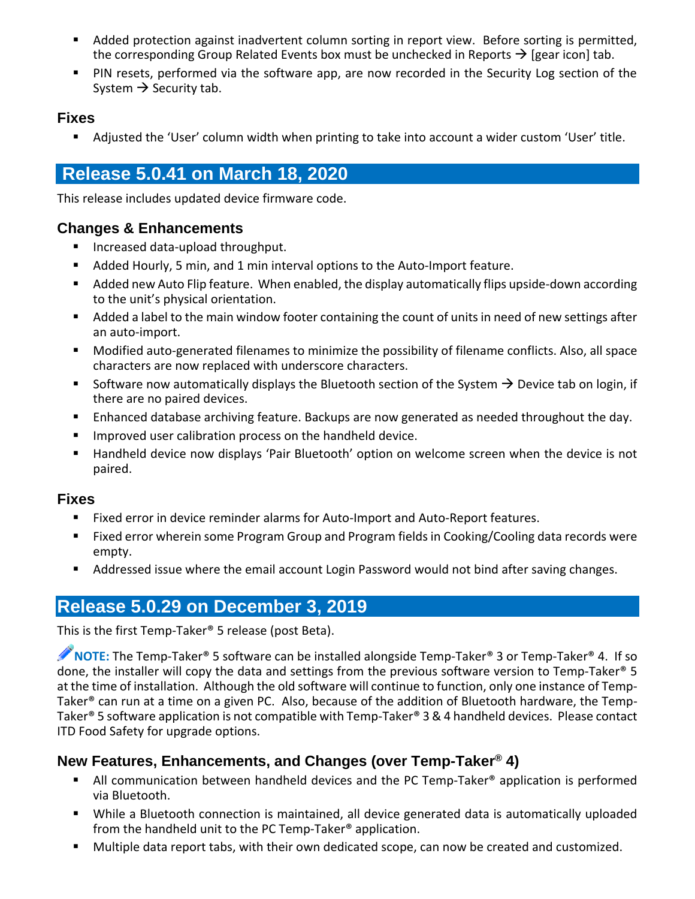- Added protection against inadvertent column sorting in report view. Before sorting is permitted, the corresponding Group Related Events box must be unchecked in Reports  $\rightarrow$  [gear icon] tab.
- PIN resets, performed via the software app, are now recorded in the Security Log section of the System  $\rightarrow$  Security tab.

#### **Fixes**

■ Adjusted the 'User' column width when printing to take into account a wider custom 'User' title.

# **Release 5.0.41 on March 18, 2020**

This release includes updated device firmware code.

#### **Changes & Enhancements**

- Increased data-upload throughput.
- Added Hourly, 5 min, and 1 min interval options to the Auto-Import feature.
- Added new Auto Flip feature. When enabled, the display automatically flips upside-down according to the unit's physical orientation.
- Added a label to the main window footer containing the count of units in need of new settings after an auto-import.
- Modified auto-generated filenames to minimize the possibility of filename conflicts. Also, all space characters are now replaced with underscore characters.
- Software now automatically displays the Bluetooth section of the System  $\rightarrow$  Device tab on login, if there are no paired devices.
- **E** Enhanced database archiving feature. Backups are now generated as needed throughout the day.
- Improved user calibration process on the handheld device.
- Handheld device now displays 'Pair Bluetooth' option on welcome screen when the device is not paired.

#### **Fixes**

- Fixed error in device reminder alarms for Auto-Import and Auto-Report features.
- Fixed error wherein some Program Group and Program fields in Cooking/Cooling data records were empty.
- Addressed issue where the email account Login Password would not bind after saving changes.

## **Release 5.0.29 on December 3, 2019**

This is the first Temp-Taker® 5 release (post Beta).

**NOTE:** The Temp-Taker® 5 software can be installed alongside Temp-Taker® 3 or Temp-Taker® 4. If so done, the installer will copy the data and settings from the previous software version to Temp-Taker® 5 at the time of installation. Although the old software will continue to function, only one instance of Temp-Taker® can run at a time on a given PC. Also, because of the addition of Bluetooth hardware, the Temp-Taker® 5 software application is not compatible with Temp-Taker® 3 & 4 handheld devices. Please contact ITD Food Safety for upgrade options.

#### **New Features, Enhancements, and Changes (over Temp-Taker® 4)**

- All communication between handheld devices and the PC Temp-Taker<sup>®</sup> application is performed via Bluetooth.
- While a Bluetooth connection is maintained, all device generated data is automatically uploaded from the handheld unit to the PC Temp-Taker® application.
- Multiple data report tabs, with their own dedicated scope, can now be created and customized.